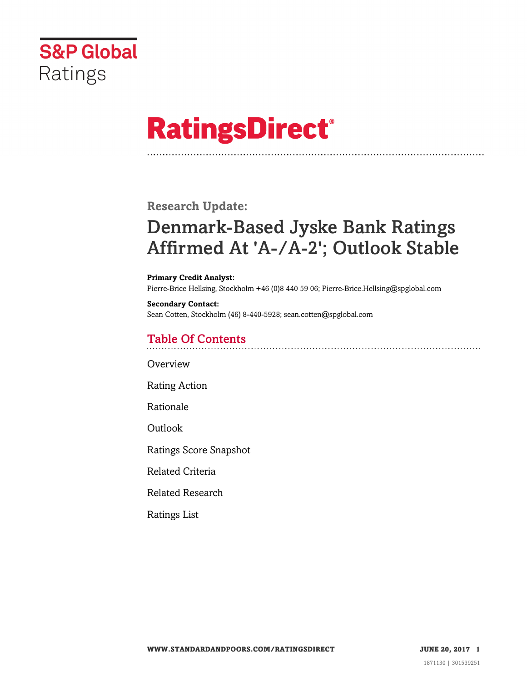

# **RatingsDirect®**

### **Research Update:**

# Denmark-Based Jyske Bank Ratings Affirmed At 'A-/A-2'; Outlook Stable

#### **Primary Credit Analyst:**

Pierre-Brice Hellsing, Stockholm +46 (0)8 440 59 06; Pierre-Brice.Hellsing@spglobal.com

**Secondary Contact:** Sean Cotten, Stockholm (46) 8-440-5928; sean.cotten@spglobal.com

#### Table Of Contents

**[Overview](#page-1-0)** 

[Rating Action](#page-1-1)

[Rationale](#page-1-2)

[Outlook](#page-3-0)

[Ratings Score Snapshot](#page-3-1)

[Related Criteria](#page-3-2)

[Related Research](#page-4-0)

[Ratings List](#page-4-1)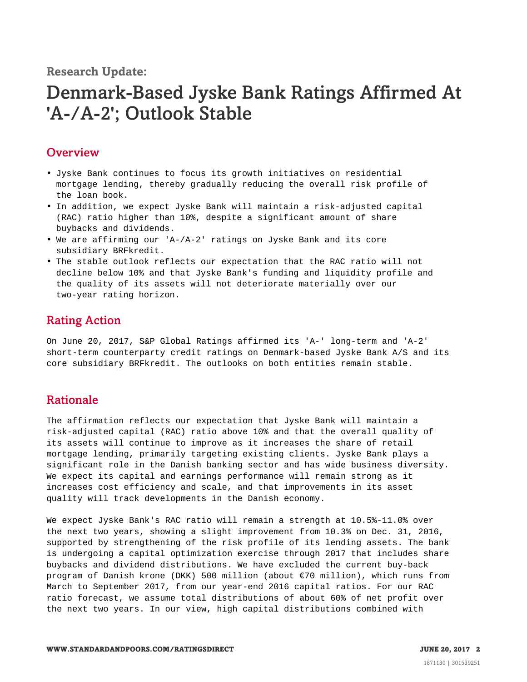**Research Update:**

## Denmark-Based Jyske Bank Ratings Affirmed At 'A-/A-2'; Outlook Stable

#### <span id="page-1-0"></span>**Overview**

- Jyske Bank continues to focus its growth initiatives on residential mortgage lending, thereby gradually reducing the overall risk profile of the loan book.
- In addition, we expect Jyske Bank will maintain a risk-adjusted capital (RAC) ratio higher than 10%, despite a significant amount of share buybacks and dividends.
- We are affirming our 'A-/A-2' ratings on Jyske Bank and its core subsidiary BRFkredit.
- The stable outlook reflects our expectation that the RAC ratio will not decline below 10% and that Jyske Bank's funding and liquidity profile and the quality of its assets will not deteriorate materially over our two-year rating horizon.

#### <span id="page-1-1"></span>Rating Action

On June 20, 2017, S&P Global Ratings affirmed its 'A-' long-term and 'A-2' short-term counterparty credit ratings on Denmark-based Jyske Bank A/S and its core subsidiary BRFkredit. The outlooks on both entities remain stable.

#### <span id="page-1-2"></span>Rationale

The affirmation reflects our expectation that Jyske Bank will maintain a risk-adjusted capital (RAC) ratio above 10% and that the overall quality of its assets will continue to improve as it increases the share of retail mortgage lending, primarily targeting existing clients. Jyske Bank plays a significant role in the Danish banking sector and has wide business diversity. We expect its capital and earnings performance will remain strong as it increases cost efficiency and scale, and that improvements in its asset quality will track developments in the Danish economy.

We expect Jyske Bank's RAC ratio will remain a strength at 10.5%-11.0% over the next two years, showing a slight improvement from 10.3% on Dec. 31, 2016, supported by strengthening of the risk profile of its lending assets. The bank is undergoing a capital optimization exercise through 2017 that includes share buybacks and dividend distributions. We have excluded the current buy-back program of Danish krone (DKK) 500 million (about €70 million), which runs from March to September 2017, from our year-end 2016 capital ratios. For our RAC ratio forecast, we assume total distributions of about 60% of net profit over the next two years. In our view, high capital distributions combined with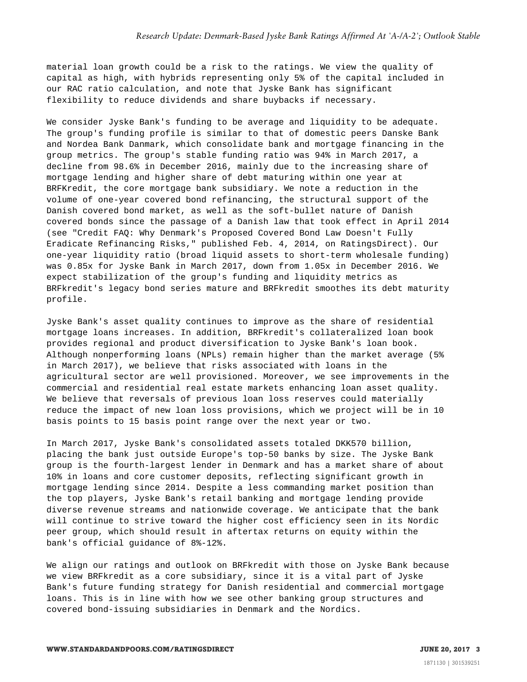material loan growth could be a risk to the ratings. We view the quality of capital as high, with hybrids representing only 5% of the capital included in our RAC ratio calculation, and note that Jyske Bank has significant flexibility to reduce dividends and share buybacks if necessary.

We consider Jyske Bank's funding to be average and liquidity to be adequate. The group's funding profile is similar to that of domestic peers Danske Bank and Nordea Bank Danmark, which consolidate bank and mortgage financing in the group metrics. The group's stable funding ratio was 94% in March 2017, a decline from 98.6% in December 2016, mainly due to the increasing share of mortgage lending and higher share of debt maturing within one year at BRFKredit, the core mortgage bank subsidiary. We note a reduction in the volume of one-year covered bond refinancing, the structural support of the Danish covered bond market, as well as the soft-bullet nature of Danish covered bonds since the passage of a Danish law that took effect in April 2014 (see "Credit FAQ: Why Denmark's Proposed Covered Bond Law Doesn't Fully Eradicate Refinancing Risks," published Feb. 4, 2014, on RatingsDirect). Our one-year liquidity ratio (broad liquid assets to short-term wholesale funding) was 0.85x for Jyske Bank in March 2017, down from 1.05x in December 2016. We expect stabilization of the group's funding and liquidity metrics as BRFkredit's legacy bond series mature and BRFkredit smoothes its debt maturity profile.

Jyske Bank's asset quality continues to improve as the share of residential mortgage loans increases. In addition, BRFkredit's collateralized loan book provides regional and product diversification to Jyske Bank's loan book. Although nonperforming loans (NPLs) remain higher than the market average (5% in March 2017), we believe that risks associated with loans in the agricultural sector are well provisioned. Moreover, we see improvements in the commercial and residential real estate markets enhancing loan asset quality. We believe that reversals of previous loan loss reserves could materially reduce the impact of new loan loss provisions, which we project will be in 10 basis points to 15 basis point range over the next year or two.

In March 2017, Jyske Bank's consolidated assets totaled DKK570 billion, placing the bank just outside Europe's top-50 banks by size. The Jyske Bank group is the fourth-largest lender in Denmark and has a market share of about 10% in loans and core customer deposits, reflecting significant growth in mortgage lending since 2014. Despite a less commanding market position than the top players, Jyske Bank's retail banking and mortgage lending provide diverse revenue streams and nationwide coverage. We anticipate that the bank will continue to strive toward the higher cost efficiency seen in its Nordic peer group, which should result in aftertax returns on equity within the bank's official guidance of 8%-12%.

We align our ratings and outlook on BRFkredit with those on Jyske Bank because we view BRFkredit as a core subsidiary, since it is a vital part of Jyske Bank's future funding strategy for Danish residential and commercial mortgage loans. This is in line with how we see other banking group structures and covered bond-issuing subsidiaries in Denmark and the Nordics.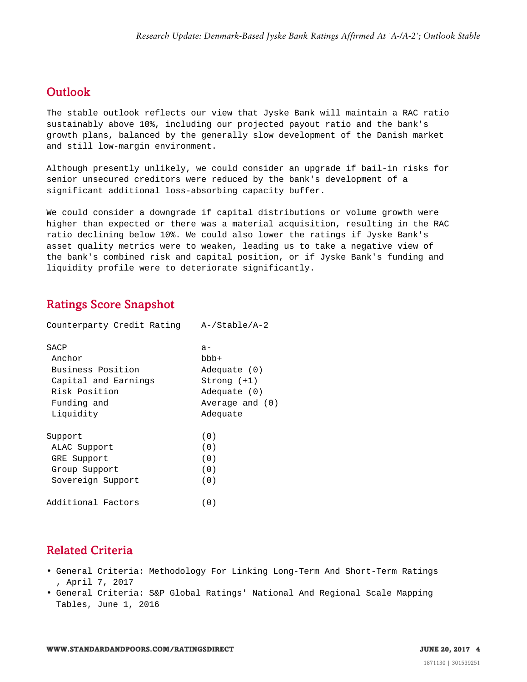#### <span id="page-3-0"></span>**Outlook**

The stable outlook reflects our view that Jyske Bank will maintain a RAC ratio sustainably above 10%, including our projected payout ratio and the bank's growth plans, balanced by the generally slow development of the Danish market and still low-margin environment.

Although presently unlikely, we could consider an upgrade if bail-in risks for senior unsecured creditors were reduced by the bank's development of a significant additional loss-absorbing capacity buffer.

We could consider a downgrade if capital distributions or volume growth were higher than expected or there was a material acquisition, resulting in the RAC ratio declining below 10%. We could also lower the ratings if Jyske Bank's asset quality metrics were to weaken, leading us to take a negative view of the bank's combined risk and capital position, or if Jyske Bank's funding and liquidity profile were to deteriorate significantly.

#### <span id="page-3-1"></span>Ratings Score Snapshot

| Counterparty Credit Rating | $A$ -/Stable/A-2 |
|----------------------------|------------------|
| SACP                       | $a -$            |
| Anchor                     | bbb+             |
| Business Position          | Adequate (0)     |
| Capital and Earnings       | Strong (+1)      |
| Risk Position              | Adequate (0)     |
| Funding and                | Average and (0)  |
| Liquidity                  | Adequate         |
| Support                    | (0)              |
| ALAC Support               | (0)              |
| GRE Support                | (0)              |
| Group Support              | (0)              |
| Sovereign Support          | (0)              |
| Additional Factors         | (0)              |

#### <span id="page-3-2"></span>Related Criteria

- General Criteria: Methodology For Linking Long-Term And Short-Term Ratings , April 7, 2017
- General Criteria: S&P Global Ratings' National And Regional Scale Mapping Tables, June 1, 2016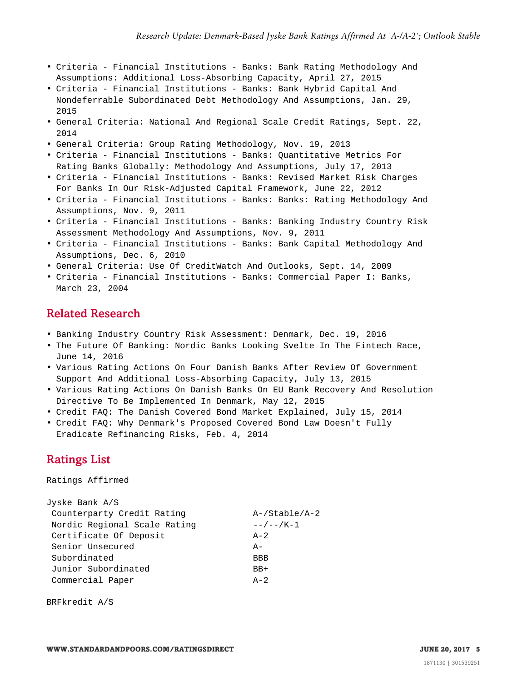- Criteria Financial Institutions Banks: Bank Rating Methodology And Assumptions: Additional Loss-Absorbing Capacity, April 27, 2015
- Criteria Financial Institutions Banks: Bank Hybrid Capital And Nondeferrable Subordinated Debt Methodology And Assumptions, Jan. 29, 2015
- General Criteria: National And Regional Scale Credit Ratings, Sept. 22, 2014
- General Criteria: Group Rating Methodology, Nov. 19, 2013
- Criteria Financial Institutions Banks: Quantitative Metrics For Rating Banks Globally: Methodology And Assumptions, July 17, 2013
- Criteria Financial Institutions Banks: Revised Market Risk Charges For Banks In Our Risk-Adjusted Capital Framework, June 22, 2012
- Criteria Financial Institutions Banks: Banks: Rating Methodology And Assumptions, Nov. 9, 2011
- Criteria Financial Institutions Banks: Banking Industry Country Risk Assessment Methodology And Assumptions, Nov. 9, 2011
- Criteria Financial Institutions Banks: Bank Capital Methodology And Assumptions, Dec. 6, 2010
- General Criteria: Use Of CreditWatch And Outlooks, Sept. 14, 2009
- <span id="page-4-0"></span>• Criteria - Financial Institutions - Banks: Commercial Paper I: Banks, March 23, 2004

#### Related Research

- Banking Industry Country Risk Assessment: Denmark, Dec. 19, 2016
- The Future Of Banking: Nordic Banks Looking Svelte In The Fintech Race, June 14, 2016
- Various Rating Actions On Four Danish Banks After Review Of Government Support And Additional Loss-Absorbing Capacity, July 13, 2015
- Various Rating Actions On Danish Banks On EU Bank Recovery And Resolution Directive To Be Implemented In Denmark, May 12, 2015
- Credit FAQ: The Danish Covered Bond Market Explained, July 15, 2014
- <span id="page-4-1"></span>• Credit FAQ: Why Denmark's Proposed Covered Bond Law Doesn't Fully Eradicate Refinancing Risks, Feb. 4, 2014

### Ratings List

Ratings Affirmed

Jyske Bank A/S

| UYSKE BAHK A/S               |                     |
|------------------------------|---------------------|
| Counterparty Credit Rating   | $A$ -/Stable/A-2    |
| Nordic Regional Scale Rating | $- - / - - / K - 1$ |
| Certificate Of Deposit       | $A-2$               |
| Senior Unsecured             | $A -$               |
| Subordinated                 | BBB                 |
| Junior Subordinated          | $BB+$               |
| Commercial Paper             | $A - 2$             |
|                              |                     |

BRFkredit A/S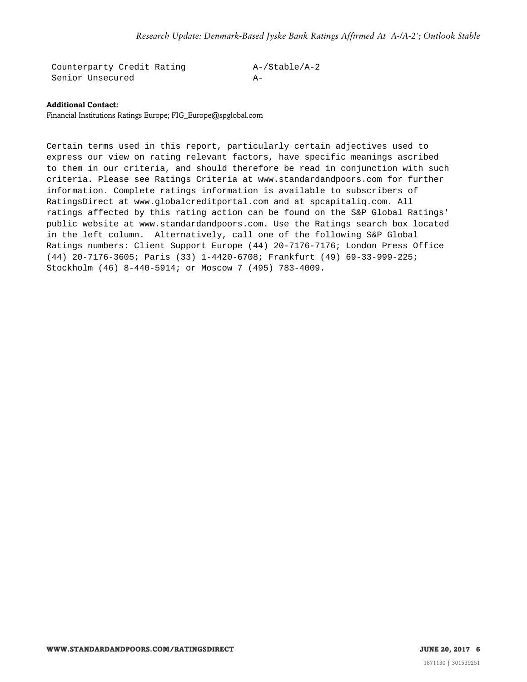Counterparty Credit Rating A-/Stable/A-2 Senior Unsecured A-

#### **Additional Contact:**

Financial Institutions Ratings Europe; FIG\_Europe@spglobal.com

Certain terms used in this report, particularly certain adjectives used to express our view on rating relevant factors, have specific meanings ascribed to them in our criteria, and should therefore be read in conjunction with such criteria. Please see Ratings Criteria at www.standardandpoors.com for further information. Complete ratings information is available to subscribers of RatingsDirect at www.globalcreditportal.com and at spcapitaliq.com. All ratings affected by this rating action can be found on the S&P Global Ratings' public website at www.standardandpoors.com. Use the Ratings search box located in the left column. Alternatively, call one of the following S&P Global Ratings numbers: Client Support Europe (44) 20-7176-7176; London Press Office (44) 20-7176-3605; Paris (33) 1-4420-6708; Frankfurt (49) 69-33-999-225; Stockholm (46) 8-440-5914; or Moscow 7 (495) 783-4009.